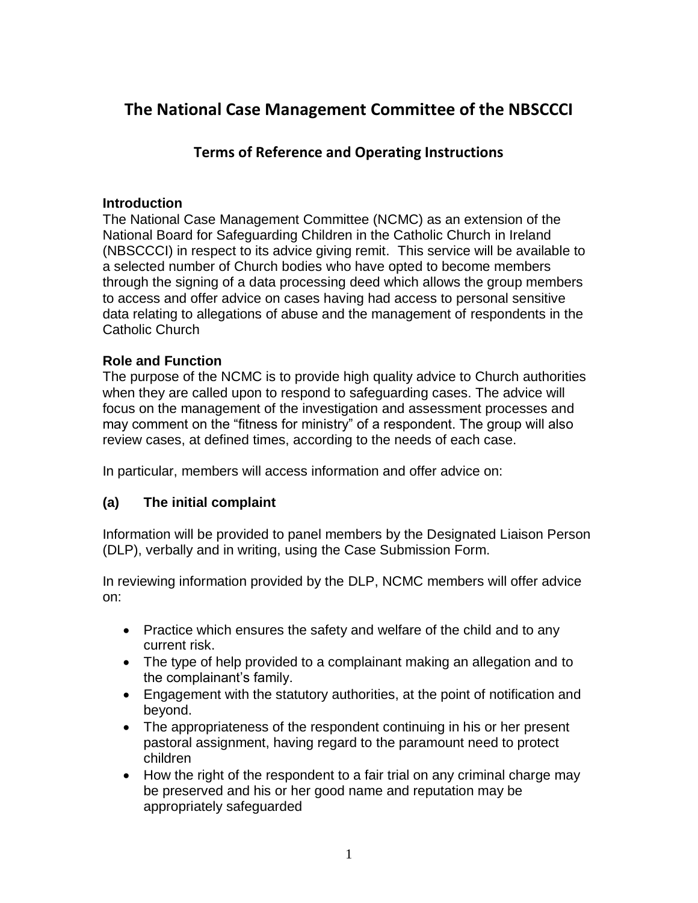# **The National Case Management Committee of the NBSCCCI**

## **Terms of Reference and Operating Instructions**

### **Introduction**

The National Case Management Committee (NCMC) as an extension of the National Board for Safeguarding Children in the Catholic Church in Ireland (NBSCCCI) in respect to its advice giving remit. This service will be available to a selected number of Church bodies who have opted to become members through the signing of a data processing deed which allows the group members to access and offer advice on cases having had access to personal sensitive data relating to allegations of abuse and the management of respondents in the Catholic Church

## **Role and Function**

The purpose of the NCMC is to provide high quality advice to Church authorities when they are called upon to respond to safeguarding cases. The advice will focus on the management of the investigation and assessment processes and may comment on the "fitness for ministry" of a respondent. The group will also review cases, at defined times, according to the needs of each case.

In particular, members will access information and offer advice on:

## **(a) The initial complaint**

Information will be provided to panel members by the Designated Liaison Person (DLP), verbally and in writing, using the Case Submission Form.

In reviewing information provided by the DLP, NCMC members will offer advice on:

- Practice which ensures the safety and welfare of the child and to any current risk.
- The type of help provided to a complainant making an allegation and to the complainant's family.
- Engagement with the statutory authorities, at the point of notification and beyond.
- The appropriateness of the respondent continuing in his or her present pastoral assignment, having regard to the paramount need to protect children
- How the right of the respondent to a fair trial on any criminal charge may be preserved and his or her good name and reputation may be appropriately safeguarded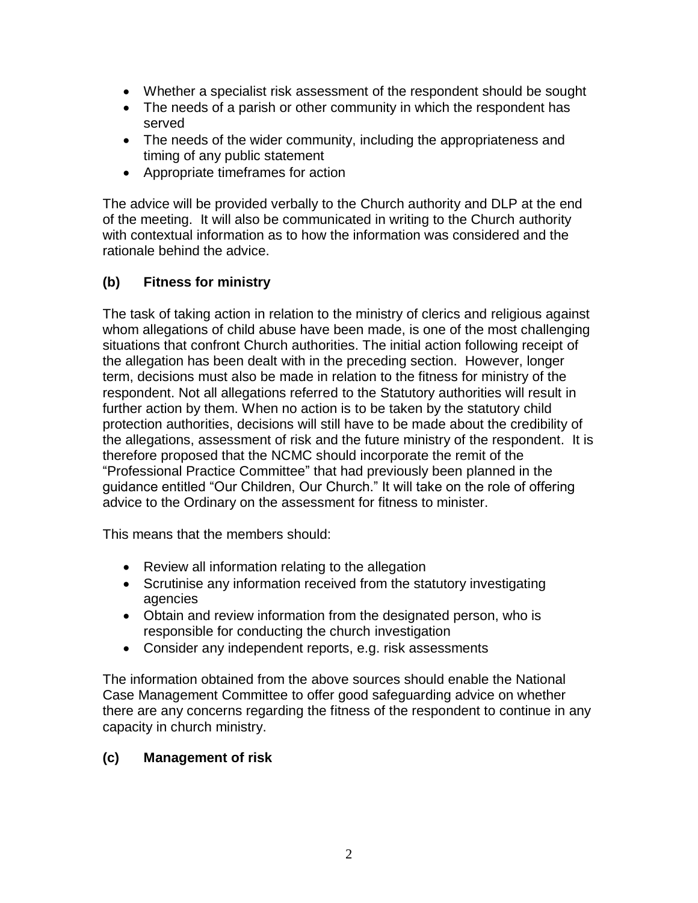- Whether a specialist risk assessment of the respondent should be sought
- The needs of a parish or other community in which the respondent has served
- The needs of the wider community, including the appropriateness and timing of any public statement
- Appropriate timeframes for action

The advice will be provided verbally to the Church authority and DLP at the end of the meeting. It will also be communicated in writing to the Church authority with contextual information as to how the information was considered and the rationale behind the advice.

## **(b) Fitness for ministry**

The task of taking action in relation to the ministry of clerics and religious against whom allegations of child abuse have been made, is one of the most challenging situations that confront Church authorities. The initial action following receipt of the allegation has been dealt with in the preceding section. However, longer term, decisions must also be made in relation to the fitness for ministry of the respondent. Not all allegations referred to the Statutory authorities will result in further action by them. When no action is to be taken by the statutory child protection authorities, decisions will still have to be made about the credibility of the allegations, assessment of risk and the future ministry of the respondent. It is therefore proposed that the NCMC should incorporate the remit of the "Professional Practice Committee" that had previously been planned in the guidance entitled "Our Children, Our Church." It will take on the role of offering advice to the Ordinary on the assessment for fitness to minister.

This means that the members should:

- Review all information relating to the allegation
- Scrutinise any information received from the statutory investigating agencies
- Obtain and review information from the designated person, who is responsible for conducting the church investigation
- Consider any independent reports, e.g. risk assessments

The information obtained from the above sources should enable the National Case Management Committee to offer good safeguarding advice on whether there are any concerns regarding the fitness of the respondent to continue in any capacity in church ministry.

## **(c) Management of risk**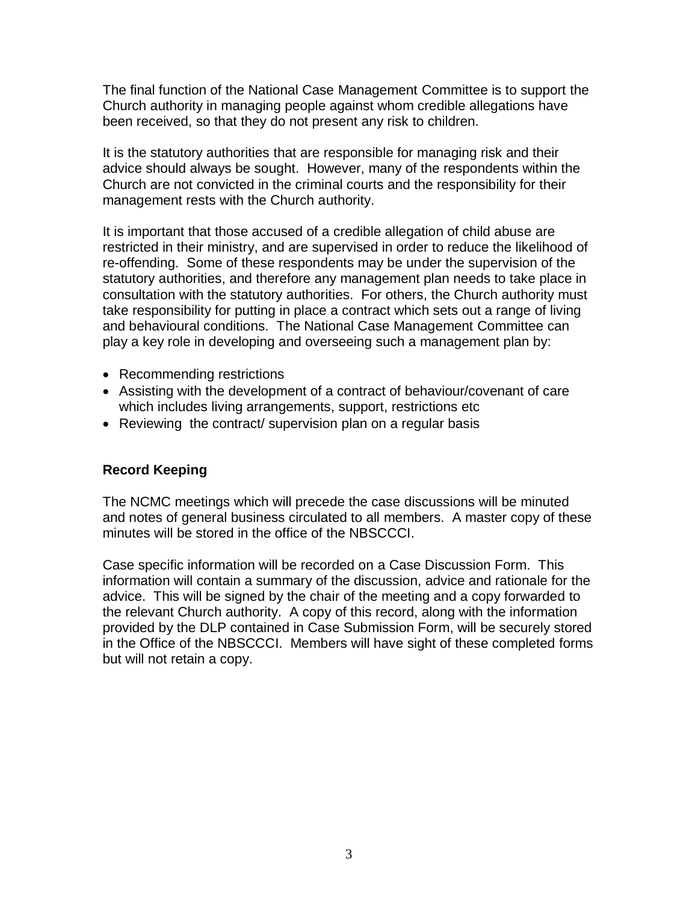The final function of the National Case Management Committee is to support the Church authority in managing people against whom credible allegations have been received, so that they do not present any risk to children.

It is the statutory authorities that are responsible for managing risk and their advice should always be sought. However, many of the respondents within the Church are not convicted in the criminal courts and the responsibility for their management rests with the Church authority.

It is important that those accused of a credible allegation of child abuse are restricted in their ministry, and are supervised in order to reduce the likelihood of re-offending. Some of these respondents may be under the supervision of the statutory authorities, and therefore any management plan needs to take place in consultation with the statutory authorities. For others, the Church authority must take responsibility for putting in place a contract which sets out a range of living and behavioural conditions. The National Case Management Committee can play a key role in developing and overseeing such a management plan by:

- Recommending restrictions
- Assisting with the development of a contract of behaviour/covenant of care which includes living arrangements, support, restrictions etc.
- Reviewing the contract/ supervision plan on a regular basis

#### **Record Keeping**

The NCMC meetings which will precede the case discussions will be minuted and notes of general business circulated to all members. A master copy of these minutes will be stored in the office of the NBSCCCI.

Case specific information will be recorded on a Case Discussion Form. This information will contain a summary of the discussion, advice and rationale for the advice. This will be signed by the chair of the meeting and a copy forwarded to the relevant Church authority. A copy of this record, along with the information provided by the DLP contained in Case Submission Form, will be securely stored in the Office of the NBSCCCI. Members will have sight of these completed forms but will not retain a copy.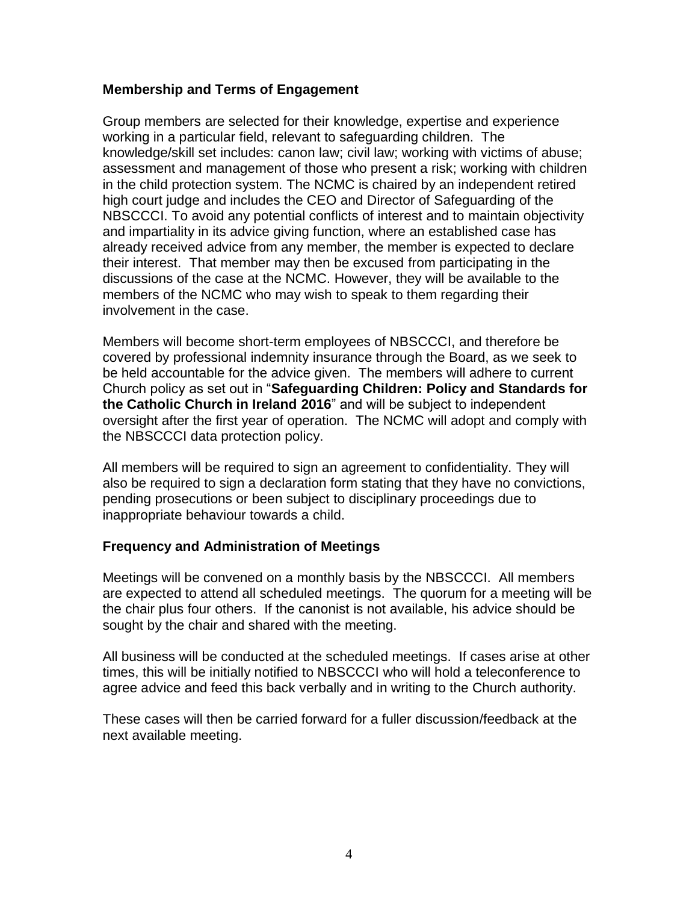## **Membership and Terms of Engagement**

Group members are selected for their knowledge, expertise and experience working in a particular field, relevant to safeguarding children. The knowledge/skill set includes: canon law; civil law; working with victims of abuse; assessment and management of those who present a risk; working with children in the child protection system. The NCMC is chaired by an independent retired high court judge and includes the CEO and Director of Safeguarding of the NBSCCCI. To avoid any potential conflicts of interest and to maintain objectivity and impartiality in its advice giving function, where an established case has already received advice from any member, the member is expected to declare their interest. That member may then be excused from participating in the discussions of the case at the NCMC. However, they will be available to the members of the NCMC who may wish to speak to them regarding their involvement in the case.

Members will become short-term employees of NBSCCCI, and therefore be covered by professional indemnity insurance through the Board, as we seek to be held accountable for the advice given. The members will adhere to current Church policy as set out in "**Safeguarding Children: Policy and Standards for the Catholic Church in Ireland 2016**" and will be subject to independent oversight after the first year of operation. The NCMC will adopt and comply with the NBSCCCI data protection policy.

All members will be required to sign an agreement to confidentiality. They will also be required to sign a declaration form stating that they have no convictions, pending prosecutions or been subject to disciplinary proceedings due to inappropriate behaviour towards a child.

#### **Frequency and Administration of Meetings**

Meetings will be convened on a monthly basis by the NBSCCCI. All members are expected to attend all scheduled meetings. The quorum for a meeting will be the chair plus four others. If the canonist is not available, his advice should be sought by the chair and shared with the meeting.

All business will be conducted at the scheduled meetings. If cases arise at other times, this will be initially notified to NBSCCCI who will hold a teleconference to agree advice and feed this back verbally and in writing to the Church authority.

These cases will then be carried forward for a fuller discussion/feedback at the next available meeting.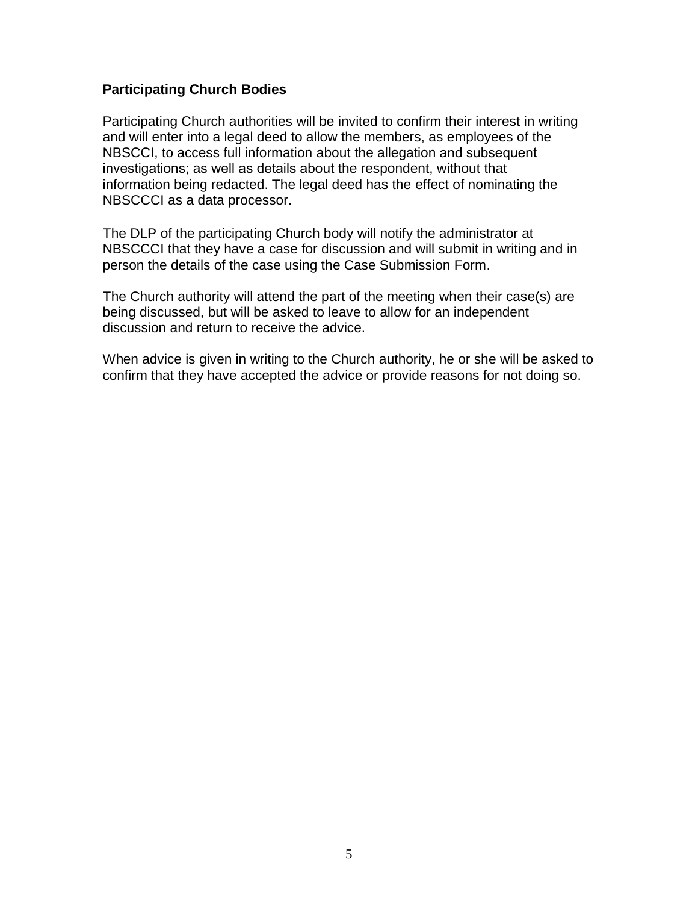### **Participating Church Bodies**

Participating Church authorities will be invited to confirm their interest in writing and will enter into a legal deed to allow the members, as employees of the NBSCCI, to access full information about the allegation and subsequent investigations; as well as details about the respondent, without that information being redacted. The legal deed has the effect of nominating the NBSCCCI as a data processor.

The DLP of the participating Church body will notify the administrator at NBSCCCI that they have a case for discussion and will submit in writing and in person the details of the case using the Case Submission Form.

The Church authority will attend the part of the meeting when their case(s) are being discussed, but will be asked to leave to allow for an independent discussion and return to receive the advice.

When advice is given in writing to the Church authority, he or she will be asked to confirm that they have accepted the advice or provide reasons for not doing so.